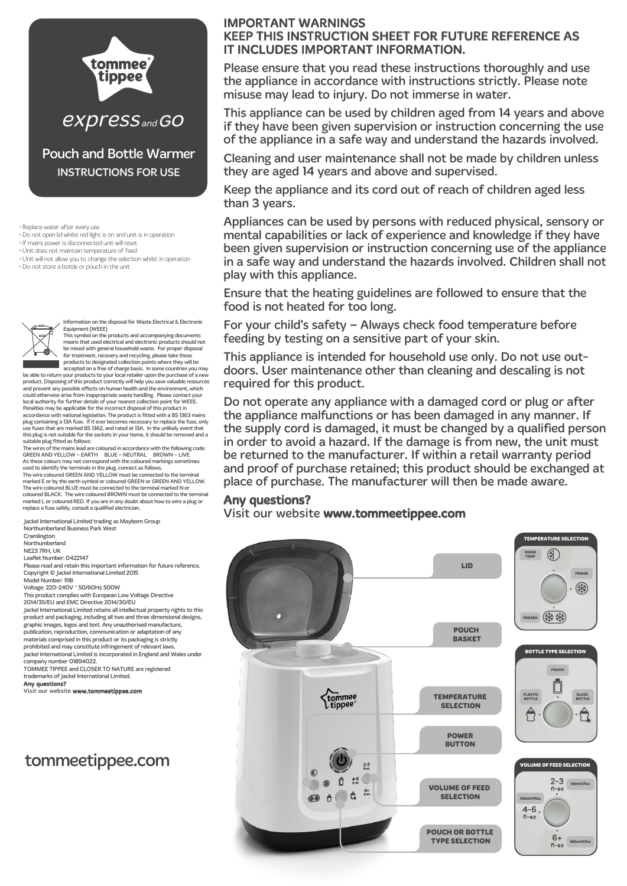

INSTRUCTIONS FOR USE

• Replace water after every use

• Do not open lid whilst red light is on and unit is in operation

• If mains power is disconnected unit will reset

• Unit does not maintain temperature of feed

• Unit will not allow you to change the selection whilst in operation

• Do not store a bottle or pouch in the unit



Information on the disposal for Waste Electrical & Electronic Equipment (WEEE)

This symbol on the products and accompanying documents means that used electrical and electronic products should not be mixed with general household waste. For proper disposal for treatment, recovery and recycling, please take these products to designated collection points where they will be

accepted on a free of charge basis. In some countries you may be able to return your products to your local retailer upon the purchase of a new product. Disposing of this product correctly will help you save valuable resources and prevent any possible effects on human health and the environment, which could otherwise arise from inappropriate waste handling. Please contact your<br>local authority for further details of your nearest collection point for WEEE.<br>Penalties may be applicable for the incorrect disposal of this pro accordance with national legislation. The product is fitted with a BS 1363 mains<br>plug containing a 13A fuse. If it ever becomes necessary to replace the fuse, only<br>use fuses that are marked BS 1362, and rated at 13A. In th this plug is not suitable for the sockets in your home, it should be removed and a suitable plug fitted as follows:

The wires of the mains lead are coloured in accordance with the following code:<br>GREEN AND YELLOW – EARTH – BLUE – NEUTRAL – BROWN – LIVE<br>As these colours may not correspond with the coloured markings sometimes

used to identify the terminals in the plug, connect as follows.<br>The wire coloured GREEN AND YELLOW must be connected to the terminal<br>marked E or by the earth symbol or coloured GREEN or GREEN AND YELLOW.<br>The wire coloured coloured BLACK. The wire coloured BROWN must be connected to the terminal marked L or coloured RED. If you are in any doubt about how to wire a plug or replace a fuse safely, consult a qualified electrician.

Northumberland Business Park West

Cramlington

Northumberland

NE23 7RH, UK

Leaflet Number: 0422147

Please read and retain this important information for future reference. Copyright © Jackel International Limited 2015 Model Number: 1118

Voltage: 220-240V ~ 50/60Hz 500W

This product complies with European Low Voltage Directive 2014/35/EU and EMC Directive 2014/30/EU Jackel International Limited retains all intellectual property rights to this product and packaging, including all two and three dimensional designs, graphic images, logos and text. Any unauthorised manufacture, publication, reproduction, communication or adaptation of any materials comprised in this product or its packaging is strictly prohibited and may constitute infringement of relevant laws.

Jackel International Limited is incorporated in England and Wales under company number 01894022. TOMMEE TIPPEE and CLOSER TO NATURE are registered trademarks of Jackel International Limited.

Any questions?

Visit our website www.tommeetippee.com

# tommeetippee.com

## IMPORTANT WARNINGS

## KEEP THIS INSTRUCTION SHEET FOR FUTURE REFERENCE AS IT INCLUDES IMPORTANT INFORMATION.

Please ensure that you read these instructions thoroughly and use the appliance in accordance with instructions strictly. Please note misuse may lead to injury. Do not immerse in water.

This appliance can be used by children aged from 14 years and above if they have been given supervision or instruction concerning the use of the appliance in a safe way and understand the hazards involved.

Cleaning and user maintenance shall not be made by children unless they are aged 14 years and above and supervised.

Keep the appliance and its cord out of reach of children aged less than 3 years.

Appliances can be used by persons with reduced physical, sensory or mental capabilities or lack of experience and knowledge if they have been given supervision or instruction concerning use of the appliance in a safe way and understand the hazards involved. Children shall not play with this appliance.

Ensure that the heating guidelines are followed to ensure that the food is not heated for too long.

For your child's safety – Always check food temperature before feeding by testing on a sensitive part of your skin.

This appliance is intended for household use only. Do not use outdoors. User maintenance other than cleaning and descaling is not required for this product.

Do not operate any appliance with a damaged cord or plug or after the appliance malfunctions or has been damaged in any manner. If the supply cord is damaged, it must be changed by a qualified person in order to avoid a hazard. If the damage is from new, the unit must be returned to the manufacturer. If within a retail warranty period and proof of purchase retained; this product should be exchanged at place of purchase. The manufacturer will then be made aware.

### Any questions?

 $V$ isit our website www.tommeetippee.com